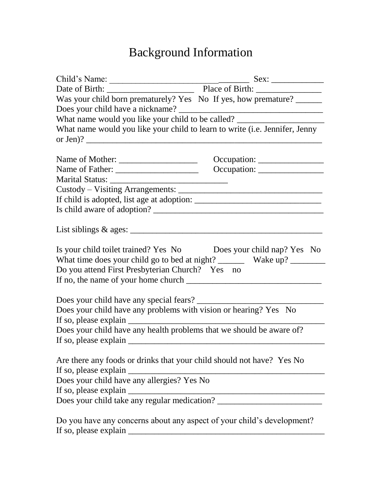## Background Information

| Was your child born prematurely? Yes No If yes, how premature?                                                      |                                                                      |  |
|---------------------------------------------------------------------------------------------------------------------|----------------------------------------------------------------------|--|
|                                                                                                                     |                                                                      |  |
| What name would you like your child to be called? _______________________________                                   |                                                                      |  |
| What name would you like your child to learn to write (i.e. Jennifer, Jenny                                         |                                                                      |  |
|                                                                                                                     |                                                                      |  |
|                                                                                                                     | $Occupation: \_\_\_\_\_\_\_\_\_\_\_\_\_\_\_\_\_\_\_\_\_\_\_\_\_\_\_$ |  |
|                                                                                                                     |                                                                      |  |
|                                                                                                                     |                                                                      |  |
|                                                                                                                     |                                                                      |  |
|                                                                                                                     |                                                                      |  |
|                                                                                                                     |                                                                      |  |
|                                                                                                                     |                                                                      |  |
| Is your child toilet trained? Yes No Does your child nap? Yes No<br>Do you attend First Presbyterian Church? Yes no |                                                                      |  |
|                                                                                                                     |                                                                      |  |
| Does your child have any problems with vision or hearing? Yes No                                                    |                                                                      |  |
| Does your child have any health problems that we should be aware of?                                                |                                                                      |  |
| Are there any foods or drinks that your child should not have? Yes No<br>If so, please explain __                   |                                                                      |  |
| Does your child have any allergies? Yes No                                                                          |                                                                      |  |
| If so, please explain _                                                                                             |                                                                      |  |
|                                                                                                                     |                                                                      |  |
| Do you have any concerns about any aspect of your child's development?<br>If so, please explain __                  |                                                                      |  |